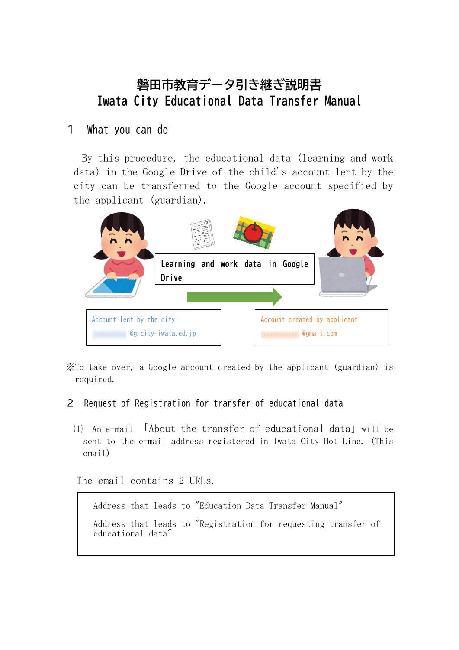## **磐田市教育データ引き継ぎ説明書 Iwata City Educational Data Transfer Manual**

## 1 What you can do

By this procedure, the educational data (learning and work data) in the Google Drive of the child's account lent by the city can be transferred to the Google account specified by the applicant (guardian).



※To take over, a Google account created by the applicant (guardian) is required.

## 2 Request of Registration for transfer of educational data

⑴ An e-mail 「About the transfer of educational data」will be sent to the e-mail address registered in Iwata City Hot Line. (This email)

The email contains 2 URLs.

Address that leads to "Education Data Transfer Manual"

Address that leads to "Registration for requesting transfer of educational data"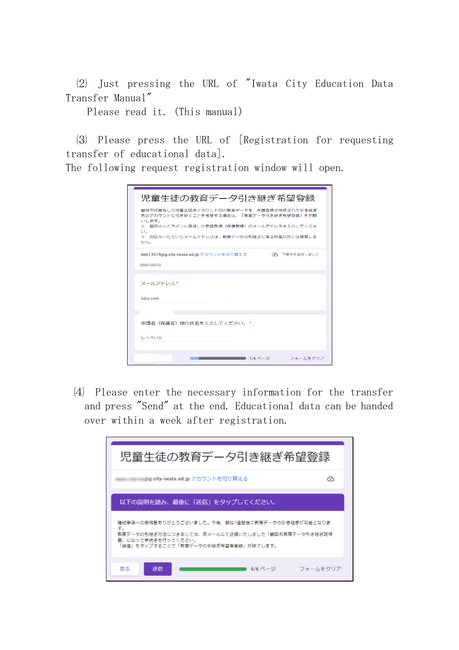⑵ Just pressing the URL of "Iwata City Education Data Transfer Manual"

Please read it. (This manual)

⑶ Please press the URL of [Registration for requesting transfer of educational data].

The following request registration window will open.

| 児童生徒の教育データ引き継ぎ希望登録                                                                                                                                                                                      |
|---------------------------------------------------------------------------------------------------------------------------------------------------------------------------------------------------------|
| 磐田市が貸与した児童生徒用アカウント内の教育データを、保護者様が作成された引き継ぎ<br>先のアカウントに引き継ぐことを希望する場合は、「教育データ引き継ぎ希望登録」をお願<br>いします。<br>※ 磐田ホッとラインに登録した申請者様(保護者様)のメールアドレスを入力してくださ<br>UV.<br>※一お伝えいただいたメールアドレスは、教育データの引継ぎに係る作業以外には使用しま<br>せんこ |
| 00613515@g.city-iwata.ed.jp アカウントを切り替える<br>へ 下書きを復元しました<br>0.046 < 2.0113                                                                                                                               |
| メールアドレス*                                                                                                                                                                                                |
| s@q.com                                                                                                                                                                                                 |
| 申請者(保護者)様の氏名を入力してください。*                                                                                                                                                                                 |
| しっぺい父                                                                                                                                                                                                   |
| 1/6 ページ<br>フォームをクリア                                                                                                                                                                                     |

⑷ Please enter the necessary information for the transfer and press "Send" at the end. Educational data can be handed over within a week after registration.

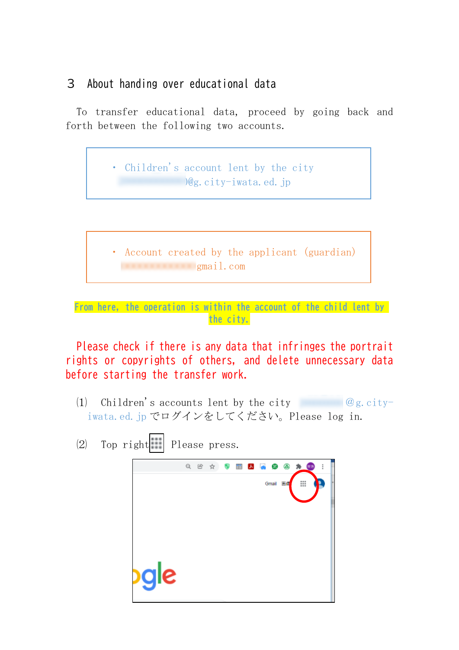## 3 About handing over educational data

To transfer educational data, proceed by going back and forth between the following two accounts.



**From here, the operation is within the account of the child lent by the city.**

Please check if there is any data that infringes the portrait rights or copyrights of others, and delete unnecessary data before starting the transfer work.

- (1) Children's accounts lent by the city  $@g.city$ iwata.ed.jp でログインをしてください。Please log in.
- $(2)$  Top right Please press.

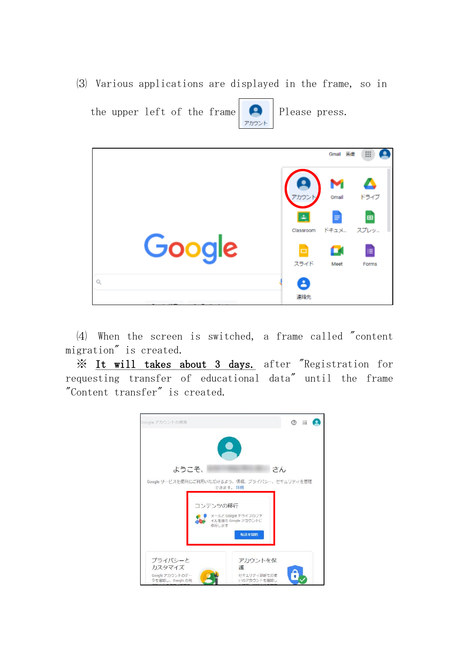⑶ Various applications are displayed in the frame, so in





⑷ When the screen is switched, a frame called "content migration" is created.

※ It will takes about 3 days. after "Registration for requesting transfer of educational data" until the frame "Content transfer" is created.

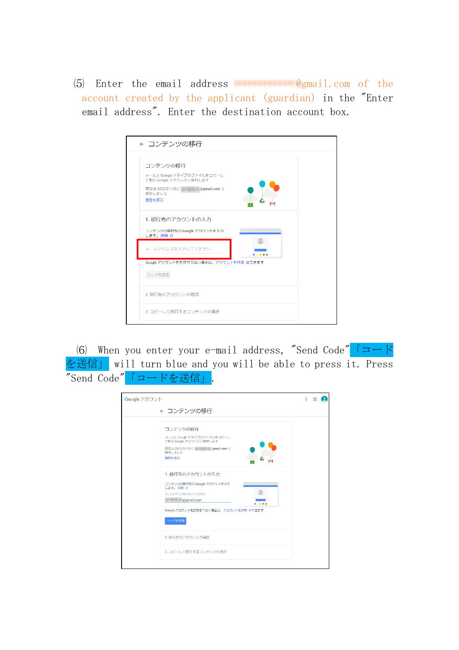$(5)$  Enter the email address  $\Box$  @gmail.com of the account created by the applicant (guardian) in the "Enter email address". Enter the destination account box.

| ← コンテンツの移行                                                                                                              |  |
|-------------------------------------------------------------------------------------------------------------------------|--|
| コンテンツの移行<br>メールと Google ドライブのファイルをコピーし<br>て別の Google アカウントに移行します<br>前回は 2022/01/18に<br>@gmail.com (C<br>移行しました<br>履歴を表示 |  |
| 1. 移行先のアカウントの入力<br>コンテンツの移行先の Google アカウントを入力<br>します。詳細 四<br>メールアドレスを入力してください                                           |  |
| Google アカウントをお持ちでない場合は、アカウントを作成 Øできます<br>コードを送信                                                                         |  |
| 2. 移行先のアカウントの確認<br>3. コピーして移行するコンテンツの選択                                                                                 |  |
|                                                                                                                         |  |

(6) When you enter your e-mail address, "Send Code"  $\Box \rightarrow \rightarrow$ を送信」 will turn blue and you will be able to press it. Press "Send Code"「コードを送信」.

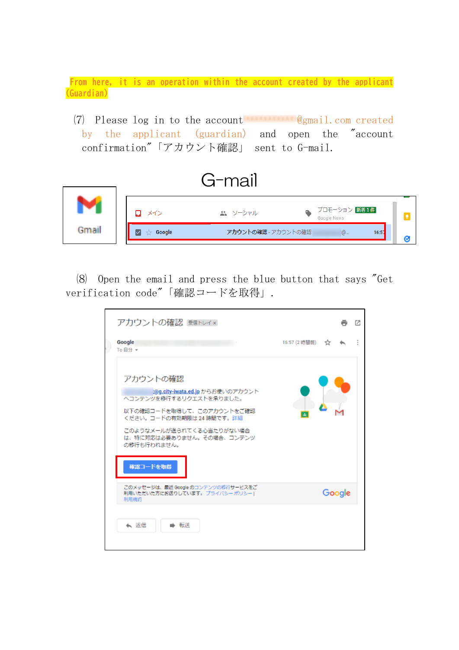**From here, it is an operation within the account created by the applicant (Guardian)**

(7) Please log in to the account  $\mathbb{Q}_{\text{gmail.com}}$  com created by the applicant (guardian) and open the "account confirmation"「アカウント確認」 sent to G-mail.



⑻ Open the email and press the blue button that says "Get verification code"「確認コードを取得」.

| アカウントの確認 Behuイ×                                                                                                                                                                                           |               |        | г. |
|-----------------------------------------------------------------------------------------------------------------------------------------------------------------------------------------------------------|---------------|--------|----|
| Google<br>To 自分 -                                                                                                                                                                                         | 16:57 (2 時間前) | - 32   |    |
| アカウントの確認<br>k@g.city-iwata.ed.jp からお使いのアカウント<br>ヘコンテンツを移行するリクエストを承りました。<br>以下の確認コードを取得して、このアカウントをご確認<br>ください。コードの有効期限は 24 時間です。詳細<br>このようなメールが送られてくる心当たりがない場合<br>は、特に対応は必要ありません。その場合、コンテンツ<br>の移行も行われません。 |               |        |    |
| 確認コードを取得<br>このメッセージは、最近 Google のコンテンツの移行サービスをご<br>利用いただいた方にお送りしています。 プライバシー ポリシート<br>利用規約                                                                                                                 |               | Google |    |
| ★ 返信<br>転送                                                                                                                                                                                                |               |        |    |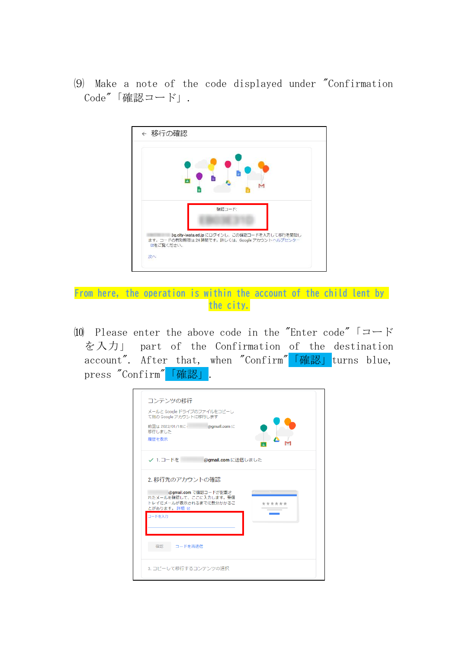⑼ Make a note of the code displayed under "Confirmation Code"「確認コード」.



**From here, the operation is within the account of the child lent by the city.**

⑽ Please enter the above code in the "Enter code"「コード を入力」 part of the Confirmation of the destination account". After that, when "Confirm" 「確認」 turns blue, press "Confirm" 「確認」.

| コンテンツの移行<br>メールと Google ドライブのファイルをコピーし<br>て別の Google アカウントに移行します<br>前回は 2022/01/18に<br>@qmail.com E<br>移行しました<br>履歴を表示                                                                                                                                                                                                                                                  |
|-------------------------------------------------------------------------------------------------------------------------------------------------------------------------------------------------------------------------------------------------------------------------------------------------------------------------------------------------------------------------|
| ✓ 1.コードを」<br>@gmail.com に送信しました                                                                                                                                                                                                                                                                                                                                         |
| 2. 移行先のアカウントの確認<br>@gmail.com で確認コードが記載さ<br><u>and the second contract of the second second in the second second second in the second second second in the second second second in the second second second second in the second second second second second second second s</u><br>れたメールを確認して、ここに入力します。受信<br>トレイにメールが表示されるまでに数分かかるこ<br>******<br>とがあります。詳細 Ø<br>コードを入力 |
| 確認<br>コードを再送信                                                                                                                                                                                                                                                                                                                                                           |
| 3. コピーして移行するコンテンツの選択                                                                                                                                                                                                                                                                                                                                                    |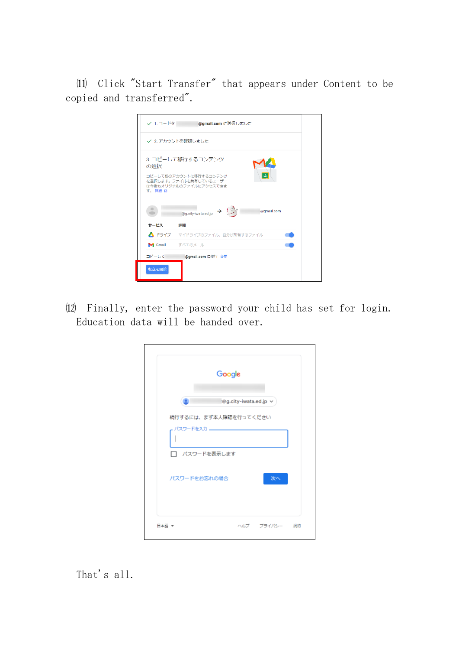⑾ Click "Start Transfer" that appears under Content to be copied and transferred".

| ✓ 1.コードを     | @gmail.com に送信しました                                                                              |
|--------------|-------------------------------------------------------------------------------------------------|
|              | ✔ 2. アカウントを確認しました                                                                               |
| の選択<br>す。詳細図 | 3. コピーして移行するコンテンツ<br>コピーして他のアカウントに移行するコンテンツ<br>を選択します。ファイルを共有しているユーザー<br>は今後もオリジナルのファイルにアクセスできま |
|              | $\rightarrow$<br>@gmail.com<br>@g.city-iwata.ed.jp                                              |
| サービス         | 詳細                                                                                              |
|              | ▲ ドライブ マイドライブのファイル、自分が所有するファイル                                                                  |
| Gmail        | すべてのメール                                                                                         |
| コピーしてー       | @gmail.com に移行 変更                                                                               |
| 転送を開始        |                                                                                                 |

⑿ Finally, enter the password your child has set for login. Education data will be handed over.

| Google                |                       |               |  |
|-----------------------|-----------------------|---------------|--|
|                       | ®g.city-iwata.ed.jp ∨ |               |  |
| 続行するには、まず本人確認を行ってください |                       |               |  |
|                       |                       |               |  |
| □ パスワードを表示します         |                       |               |  |
| パスワードをお忘れの場合          |                       | 次へ            |  |
|                       |                       |               |  |
| 日本語 -                 |                       | ヘルプ プライバシー 規約 |  |

That's all.